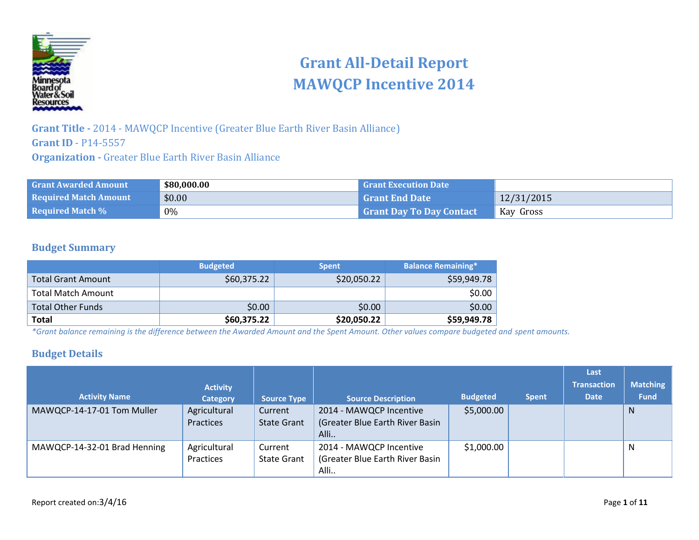

# **Grant All-Detail Report MAWQCP Incentive 2014**

**Grant Title -** 2014 - MAWQCP Incentive (Greater Blue Earth River Basin Alliance) **Grant ID** - P14-5557 **Organization -** Greater Blue Earth River Basin Alliance

| <b>Grant Awarded Amount</b>  | \$80,000.00 | <b>Grant Execution Date</b> |            |
|------------------------------|-------------|-----------------------------|------------|
| <b>Required Match Amount</b> | \$0.00      | <b>Grant End Date</b>       | 12/31/2015 |
| <b>Required Match %</b>      | $0\%$       | Grant Day To Day Contact    | Kay Gross  |

#### **Budget Summary**

|                           | <b>Budgeted</b> | <b>Spent</b> | <b>Balance Remaining*</b> |
|---------------------------|-----------------|--------------|---------------------------|
| <b>Total Grant Amount</b> | \$60,375.22     | \$20,050.22  | \$59,949.78               |
| <b>Total Match Amount</b> |                 |              | \$0.00                    |
| <b>Total Other Funds</b>  | \$0.00          | \$0.00       | \$0.00                    |
| Total                     | \$60,375.22     | \$20,050.22  | \$59,949.78               |

*\*Grant balance remaining is the difference between the Awarded Amount and the Spent Amount. Other values compare budgeted and spent amounts.*

#### **Budget Details**

|                              |                 |                    |                                 |                 |              | Last               |                 |
|------------------------------|-----------------|--------------------|---------------------------------|-----------------|--------------|--------------------|-----------------|
|                              | <b>Activity</b> |                    |                                 |                 |              | <b>Transaction</b> | <b>Matching</b> |
| <b>Activity Name</b>         | <b>Category</b> | <b>Source Type</b> | <b>Source Description</b>       | <b>Budgeted</b> | <b>Spent</b> | <b>Date</b>        | <b>Fund</b>     |
| MAWQCP-14-17-01 Tom Muller   | Agricultural    | Current            | 2014 - MAWQCP Incentive         | \$5,000.00      |              |                    | N               |
|                              | Practices       | <b>State Grant</b> | (Greater Blue Earth River Basin |                 |              |                    |                 |
|                              |                 |                    | Alli                            |                 |              |                    |                 |
| MAWQCP-14-32-01 Brad Henning | Agricultural    | Current            | 2014 - MAWQCP Incentive         | \$1,000.00      |              |                    | N               |
|                              | Practices       | <b>State Grant</b> | (Greater Blue Earth River Basin |                 |              |                    |                 |
|                              |                 |                    | Alli                            |                 |              |                    |                 |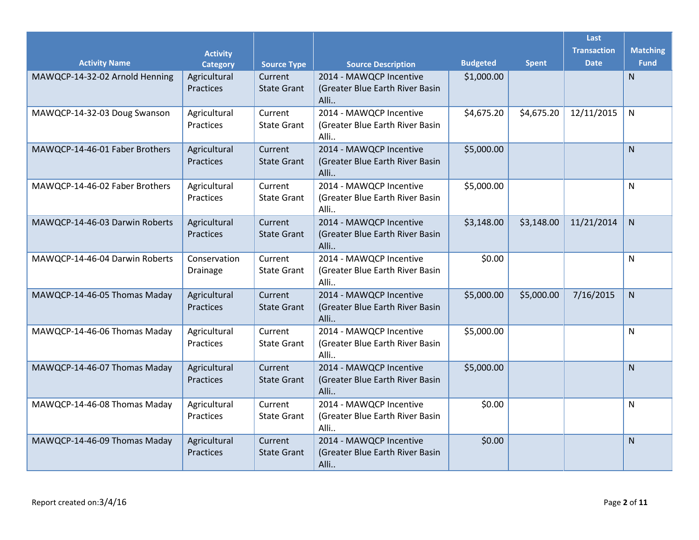|                                |                                    |                               |                                                                    |                 |              | Last<br><b>Transaction</b> | <b>Matching</b> |
|--------------------------------|------------------------------------|-------------------------------|--------------------------------------------------------------------|-----------------|--------------|----------------------------|-----------------|
| <b>Activity Name</b>           | <b>Activity</b><br><b>Category</b> | <b>Source Type</b>            | <b>Source Description</b>                                          | <b>Budgeted</b> | <b>Spent</b> | <b>Date</b>                | <b>Fund</b>     |
| MAWQCP-14-32-02 Arnold Henning | Agricultural<br>Practices          | Current<br><b>State Grant</b> | 2014 - MAWQCP Incentive<br>(Greater Blue Earth River Basin<br>Alli | \$1,000.00      |              |                            | $\mathsf{N}$    |
| MAWQCP-14-32-03 Doug Swanson   | Agricultural<br>Practices          | Current<br><b>State Grant</b> | 2014 - MAWQCP Incentive<br>(Greater Blue Earth River Basin<br>Alli | \$4,675.20      | \$4,675.20   | 12/11/2015                 | $\mathsf{N}$    |
| MAWQCP-14-46-01 Faber Brothers | Agricultural<br>Practices          | Current<br><b>State Grant</b> | 2014 - MAWQCP Incentive<br>(Greater Blue Earth River Basin<br>Alli | \$5,000.00      |              |                            | N               |
| MAWQCP-14-46-02 Faber Brothers | Agricultural<br>Practices          | Current<br><b>State Grant</b> | 2014 - MAWQCP Incentive<br>(Greater Blue Earth River Basin<br>Alli | \$5,000.00      |              |                            | ${\sf N}$       |
| MAWQCP-14-46-03 Darwin Roberts | Agricultural<br>Practices          | Current<br><b>State Grant</b> | 2014 - MAWQCP Incentive<br>(Greater Blue Earth River Basin<br>Alli | \$3,148.00      | \$3,148.00   | 11/21/2014                 | $\mathsf{N}$    |
| MAWQCP-14-46-04 Darwin Roberts | Conservation<br>Drainage           | Current<br><b>State Grant</b> | 2014 - MAWQCP Incentive<br>(Greater Blue Earth River Basin<br>Alli | \$0.00          |              |                            | ${\sf N}$       |
| MAWQCP-14-46-05 Thomas Maday   | Agricultural<br>Practices          | Current<br><b>State Grant</b> | 2014 - MAWQCP Incentive<br>(Greater Blue Earth River Basin<br>Alli | \$5,000.00      | \$5,000.00   | 7/16/2015                  | ${\sf N}$       |
| MAWQCP-14-46-06 Thomas Maday   | Agricultural<br>Practices          | Current<br><b>State Grant</b> | 2014 - MAWQCP Incentive<br>(Greater Blue Earth River Basin<br>Alli | \$5,000.00      |              |                            | $\mathsf{N}$    |
| MAWQCP-14-46-07 Thomas Maday   | Agricultural<br>Practices          | Current<br><b>State Grant</b> | 2014 - MAWQCP Incentive<br>(Greater Blue Earth River Basin<br>Alli | \$5,000.00      |              |                            | $\mathsf{N}$    |
| MAWQCP-14-46-08 Thomas Maday   | Agricultural<br>Practices          | Current<br><b>State Grant</b> | 2014 - MAWQCP Incentive<br>(Greater Blue Earth River Basin<br>Alli | \$0.00          |              |                            | $\mathsf{N}$    |
| MAWQCP-14-46-09 Thomas Maday   | Agricultural<br>Practices          | Current<br><b>State Grant</b> | 2014 - MAWQCP Incentive<br>(Greater Blue Earth River Basin<br>Alli | \$0.00          |              |                            | N               |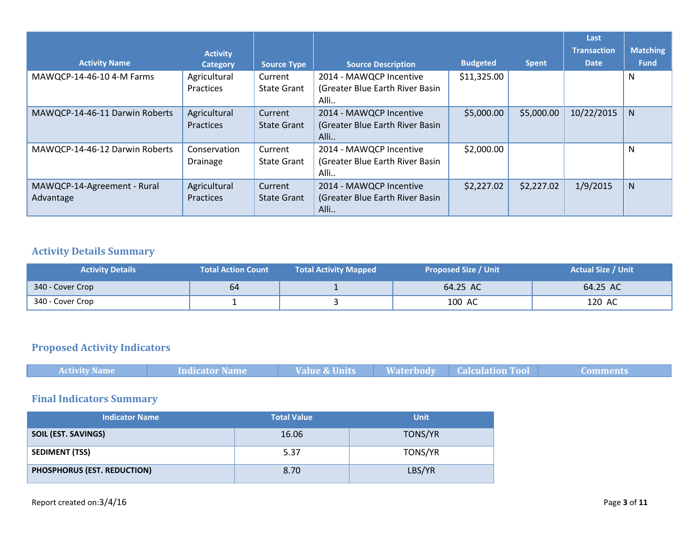|                                |                 |                    |                                 |                 |              | Last               |                 |
|--------------------------------|-----------------|--------------------|---------------------------------|-----------------|--------------|--------------------|-----------------|
|                                | <b>Activity</b> |                    |                                 |                 |              | <b>Transaction</b> | <b>Matching</b> |
| <b>Activity Name</b>           | <b>Category</b> | <b>Source Type</b> | <b>Source Description</b>       | <b>Budgeted</b> | <b>Spent</b> | <b>Date</b>        | <b>Fund</b>     |
| MAWQCP-14-46-10 4-M Farms      | Agricultural    | Current            | 2014 - MAWQCP Incentive         | \$11,325.00     |              |                    | N               |
|                                | Practices       | <b>State Grant</b> | (Greater Blue Earth River Basin |                 |              |                    |                 |
|                                |                 |                    | Alli                            |                 |              |                    |                 |
| MAWQCP-14-46-11 Darwin Roberts | Agricultural    | Current            | 2014 - MAWQCP Incentive         | \$5,000.00      | \$5,000.00   | 10/22/2015         | N               |
|                                | Practices       | <b>State Grant</b> | (Greater Blue Earth River Basin |                 |              |                    |                 |
|                                |                 |                    | Alli                            |                 |              |                    |                 |
| MAWQCP-14-46-12 Darwin Roberts | Conservation    | Current            | 2014 - MAWQCP Incentive         | \$2,000.00      |              |                    | N               |
|                                | <b>Drainage</b> | <b>State Grant</b> | (Greater Blue Earth River Basin |                 |              |                    |                 |
|                                |                 |                    | Alli                            |                 |              |                    |                 |
| MAWQCP-14-Agreement - Rural    | Agricultural    | Current            | 2014 - MAWQCP Incentive         | \$2,227.02      | \$2,227.02   | 1/9/2015           | N               |
| Advantage                      | Practices       | <b>State Grant</b> | (Greater Blue Earth River Basin |                 |              |                    |                 |
|                                |                 |                    | Alli                            |                 |              |                    |                 |

## **Activity Details Summary**

| <b>Activity Details</b> | <b>Total Action Count</b> | <b>Total Activity Mapped</b> | <b>Proposed Size / Unit</b> | <b>Actual Size / Unit</b> |
|-------------------------|---------------------------|------------------------------|-----------------------------|---------------------------|
| 340 - Cover Crop        | 64                        |                              | 64.25 AC                    | 64.25 AC                  |
| 340 - Cover Crop        |                           |                              | 100 AC                      | 120 AC                    |

#### **Proposed Activity Indicators**

| Waterbody <sup>1</sup><br><b>Value &amp; Units</b><br><b>Activity Name</b><br><b>Calculation Tool</b><br>Indicator Name<br>Comments |
|-------------------------------------------------------------------------------------------------------------------------------------|
|-------------------------------------------------------------------------------------------------------------------------------------|

### **Final Indicators Summary**

| <b>Indicator Name</b>       | <b>Total Value</b> | <b>Unit</b> |
|-----------------------------|--------------------|-------------|
| SOIL (EST. SAVINGS)         | 16.06              | TONS/YR     |
| <b>SEDIMENT (TSS)</b>       | 5.37               | TONS/YR     |
| PHOSPHORUS (EST. REDUCTION) | 8.70               | LBS/YR      |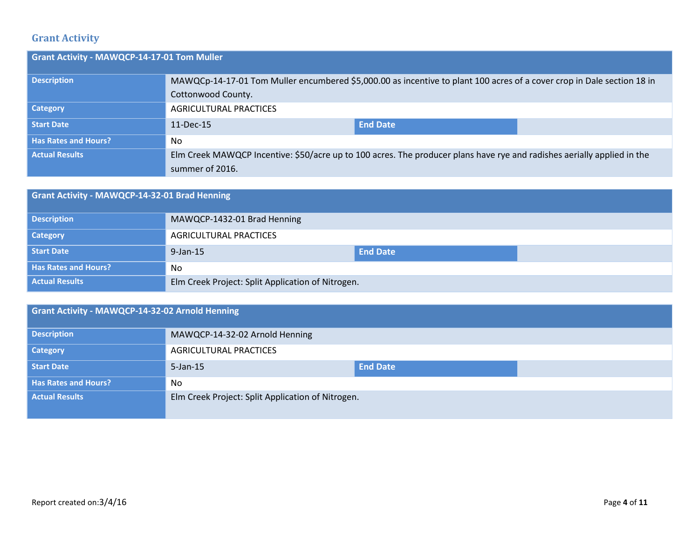#### **Grant Activity**

| Grant Activity - MAWQCP-14-17-01 Tom Muller |                                                                                                                         |                 |  |
|---------------------------------------------|-------------------------------------------------------------------------------------------------------------------------|-----------------|--|
| <b>Description</b>                          | MAWQCp-14-17-01 Tom Muller encumbered \$5,000.00 as incentive to plant 100 acres of a cover crop in Dale section 18 in  |                 |  |
|                                             | Cottonwood County.                                                                                                      |                 |  |
| <b>Category</b>                             | AGRICULTURAL PRACTICES                                                                                                  |                 |  |
| Start Date                                  | $11$ -Dec-15                                                                                                            | <b>End Date</b> |  |
| <b>Has Rates and Hours?</b>                 | No                                                                                                                      |                 |  |
| <b>Actual Results</b>                       | Elm Creek MAWQCP Incentive: \$50/acre up to 100 acres. The producer plans have rye and radishes aerially applied in the |                 |  |
|                                             | summer of 2016.                                                                                                         |                 |  |

| Grant Activity - MAWQCP-14-32-01 Brad Henning |                                                   |                 |  |  |
|-----------------------------------------------|---------------------------------------------------|-----------------|--|--|
| <b>Description</b>                            | MAWQCP-1432-01 Brad Henning                       |                 |  |  |
| <b>Category</b>                               | <b>AGRICULTURAL PRACTICES</b>                     |                 |  |  |
| Start Date                                    | $9$ -Jan-15                                       | <b>End Date</b> |  |  |
| <b>Has Rates and Hours?</b>                   | No.                                               |                 |  |  |
| <b>Actual Results</b>                         | Elm Creek Project: Split Application of Nitrogen. |                 |  |  |

## **Grant Activity - MAWQCP-14-32-02 Arnold Henning Description** MAWQCP-14-32-02 Arnold Henning **Category Category AGRICULTURAL PRACTICES Start Date** 5-Jan-15 **End Date** 5-Jan-15 **End Date Has Rates and Hours?** No **Actual Results Elm Creek Project: Split Application of Nitrogen.**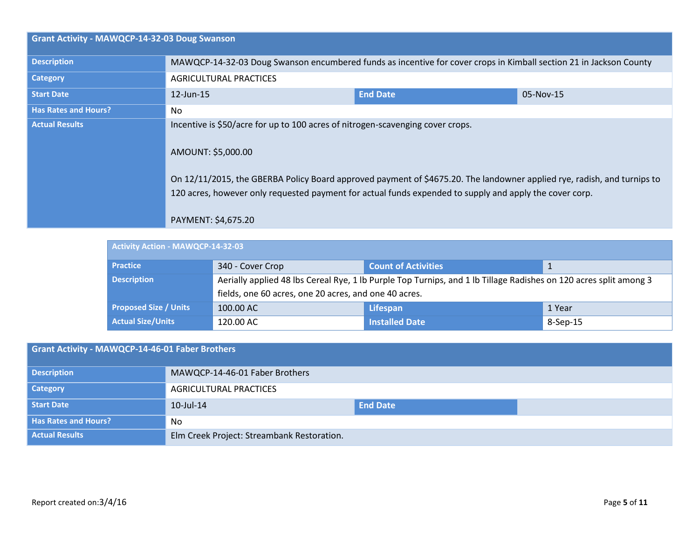| Grant Activity - MAWQCP-14-32-03 Doug Swanson |                                                                                                                                                                                                                                                                                                                                                                   |                 |           |
|-----------------------------------------------|-------------------------------------------------------------------------------------------------------------------------------------------------------------------------------------------------------------------------------------------------------------------------------------------------------------------------------------------------------------------|-----------------|-----------|
| <b>Description</b>                            | MAWQCP-14-32-03 Doug Swanson encumbered funds as incentive for cover crops in Kimball section 21 in Jackson County                                                                                                                                                                                                                                                |                 |           |
| Category                                      | <b>AGRICULTURAL PRACTICES</b>                                                                                                                                                                                                                                                                                                                                     |                 |           |
| <b>Start Date</b>                             | $12$ -Jun-15                                                                                                                                                                                                                                                                                                                                                      | <b>End Date</b> | 05-Nov-15 |
| <b>Has Rates and Hours?</b>                   | No.                                                                                                                                                                                                                                                                                                                                                               |                 |           |
| <b>Actual Results</b>                         | Incentive is \$50/acre for up to 100 acres of nitrogen-scavenging cover crops.<br>AMOUNT: \$5,000.00<br>On 12/11/2015, the GBERBA Policy Board approved payment of \$4675.20. The landowner applied rye, radish, and turnips to<br>120 acres, however only requested payment for actual funds expended to supply and apply the cover corp.<br>PAYMENT: \$4,675.20 |                 |           |

| Activity Action - MAWQCP-14-32-03 |                                                       |                                                                                                                   |          |  |  |  |
|-----------------------------------|-------------------------------------------------------|-------------------------------------------------------------------------------------------------------------------|----------|--|--|--|
| <b>Practice</b>                   | 340 - Cover Crop                                      | <b>Count of Activities</b>                                                                                        |          |  |  |  |
| <b>Description</b>                |                                                       | Aerially applied 48 lbs Cereal Rye, 1 lb Purple Top Turnips, and 1 lb Tillage Radishes on 120 acres split among 3 |          |  |  |  |
|                                   | fields, one 60 acres, one 20 acres, and one 40 acres. |                                                                                                                   |          |  |  |  |
| <b>Proposed Size / Units</b>      | 100.00 AC                                             | <b>Lifespan</b>                                                                                                   | 1 Year   |  |  |  |
| <b>Actual Size/Units</b>          | 120.00 AC                                             | <b>Installed Date</b>                                                                                             | 8-Sep-15 |  |  |  |

| Grant Activity - MAWQCP-14-46-01 Faber Brothers |                                            |                 |  |  |
|-------------------------------------------------|--------------------------------------------|-----------------|--|--|
| <b>Description</b>                              | MAWQCP-14-46-01 Faber Brothers             |                 |  |  |
| <b>Category</b>                                 | <b>AGRICULTURAL PRACTICES</b>              |                 |  |  |
| Start Date                                      | 10-Jul-14                                  | <b>End Date</b> |  |  |
| <b>Has Rates and Hours?</b>                     | N <sub>o</sub>                             |                 |  |  |
| <b>Actual Results</b>                           | Elm Creek Project: Streambank Restoration. |                 |  |  |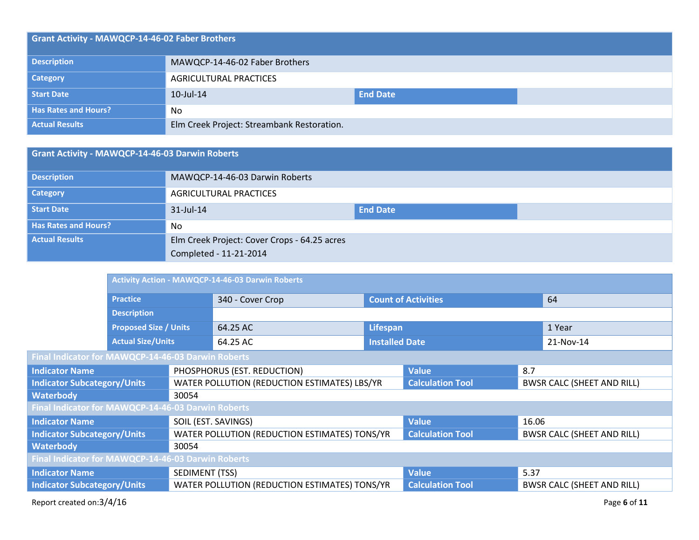| Grant Activity - MAWQCP-14-46-02 Faber Brothers |                                            |                 |  |  |  |
|-------------------------------------------------|--------------------------------------------|-----------------|--|--|--|
| <b>Description</b>                              | MAWQCP-14-46-02 Faber Brothers             |                 |  |  |  |
| <b>Category</b>                                 | AGRICULTURAL PRACTICES                     |                 |  |  |  |
| Start Date                                      | $10$ -Jul- $14$                            | <b>End Date</b> |  |  |  |
| <b>Has Rates and Hours?</b>                     | No                                         |                 |  |  |  |
| <b>Actual Results</b>                           | Elm Creek Project: Streambank Restoration. |                 |  |  |  |

| Grant Activity - MAWQCP-14-46-03 Darwin Roberts |                                              |                 |  |  |
|-------------------------------------------------|----------------------------------------------|-----------------|--|--|
| <b>Description</b>                              | MAWQCP-14-46-03 Darwin Roberts               |                 |  |  |
| <b>Category</b>                                 | AGRICULTURAL PRACTICES                       |                 |  |  |
| Start Date                                      | $31$ -Jul-14                                 | <b>End Date</b> |  |  |
| <b>Has Rates and Hours?</b>                     | No.                                          |                 |  |  |
| <b>Actual Results</b>                           | Elm Creek Project: Cover Crops - 64.25 acres |                 |  |  |
|                                                 | Completed - 11-21-2014                       |                 |  |  |

|                                                                                    | <b>Activity Action - MAWQCP-14-46-03 Darwin Roberts</b> |                     |                                               |                                   |                            |       |                                   |
|------------------------------------------------------------------------------------|---------------------------------------------------------|---------------------|-----------------------------------------------|-----------------------------------|----------------------------|-------|-----------------------------------|
|                                                                                    | <b>Practice</b>                                         |                     | 340 - Cover Crop                              |                                   | <b>Count of Activities</b> |       | 64                                |
|                                                                                    | <b>Description</b>                                      |                     |                                               |                                   |                            |       |                                   |
|                                                                                    | <b>Proposed Size / Units</b>                            |                     | 64.25 AC                                      | Lifespan                          |                            |       | 1 Year                            |
|                                                                                    | <b>Actual Size/Units</b>                                |                     | 64.25 AC                                      | <b>Installed Date</b>             |                            |       | 21-Nov-14                         |
| Final Indicator for MAWQCP-14-46-03 Darwin Roberts                                 |                                                         |                     |                                               |                                   |                            |       |                                   |
| <b>Indicator Name</b>                                                              | PHOSPHORUS (EST. REDUCTION)                             |                     |                                               |                                   | <b>Value</b>               | 8.7   |                                   |
| WATER POLLUTION (REDUCTION ESTIMATES) LBS/YR<br><b>Indicator Subcategory/Units</b> |                                                         |                     | <b>Calculation Tool</b>                       | <b>BWSR CALC (SHEET AND RILL)</b> |                            |       |                                   |
| <b>Waterbody</b>                                                                   |                                                         | 30054               |                                               |                                   |                            |       |                                   |
| Final Indicator for MAWQCP-14-46-03 Darwin Roberts                                 |                                                         |                     |                                               |                                   |                            |       |                                   |
| <b>Indicator Name</b>                                                              |                                                         | SOIL (EST. SAVINGS) |                                               |                                   | <b>Value</b>               | 16.06 |                                   |
| <b>Indicator Subcategory/Units</b>                                                 |                                                         |                     | WATER POLLUTION (REDUCTION ESTIMATES) TONS/YR |                                   | <b>Calculation Tool</b>    |       | <b>BWSR CALC (SHEET AND RILL)</b> |
| <b>Waterbody</b>                                                                   |                                                         | 30054               |                                               |                                   |                            |       |                                   |
| Final Indicator for MAWQCP-14-46-03 Darwin Roberts                                 |                                                         |                     |                                               |                                   |                            |       |                                   |
| <b>Indicator Name</b>                                                              |                                                         | SEDIMENT (TSS)      |                                               |                                   | <b>Value</b>               | 5.37  |                                   |
| <b>Indicator Subcategory/Units</b>                                                 |                                                         |                     | WATER POLLUTION (REDUCTION ESTIMATES) TONS/YR |                                   | <b>Calculation Tool</b>    |       | <b>BWSR CALC (SHEET AND RILL)</b> |
|                                                                                    |                                                         |                     |                                               |                                   |                            |       |                                   |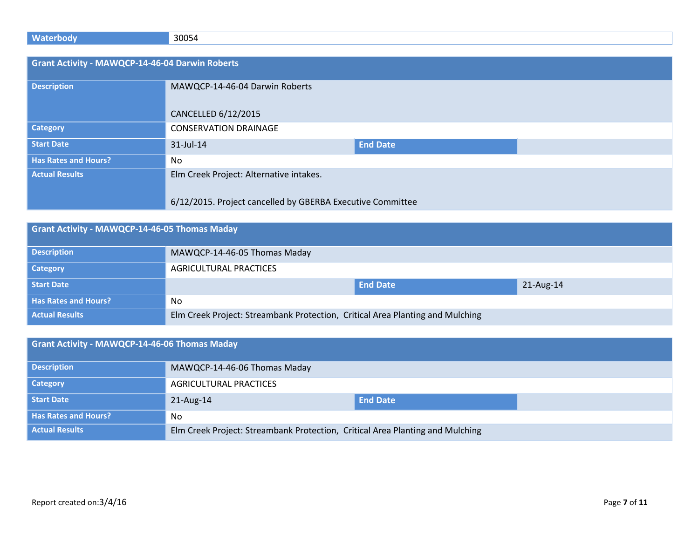| <b>Waterbody</b>                                       | 30054                                                      |                 |  |
|--------------------------------------------------------|------------------------------------------------------------|-----------------|--|
|                                                        |                                                            |                 |  |
| <b>Grant Activity - MAWQCP-14-46-04 Darwin Roberts</b> |                                                            |                 |  |
| <b>Description</b>                                     | MAWQCP-14-46-04 Darwin Roberts                             |                 |  |
|                                                        |                                                            |                 |  |
|                                                        |                                                            |                 |  |
|                                                        | CANCELLED 6/12/2015                                        |                 |  |
| <b>Category</b>                                        | <b>CONSERVATION DRAINAGE</b>                               |                 |  |
| <b>Start Date</b>                                      | 31-Jul-14                                                  | <b>End Date</b> |  |
| <b>Has Rates and Hours?</b>                            | No                                                         |                 |  |
| <b>Actual Results</b>                                  | Elm Creek Project: Alternative intakes.                    |                 |  |
|                                                        |                                                            |                 |  |
|                                                        | 6/12/2015. Project cancelled by GBERBA Executive Committee |                 |  |

| Grant Activity - MAWQCP-14-46-05 Thomas Maday |                                                                               |                 |           |  |
|-----------------------------------------------|-------------------------------------------------------------------------------|-----------------|-----------|--|
| <b>Description</b>                            | MAWQCP-14-46-05 Thomas Maday                                                  |                 |           |  |
| <b>Category</b>                               | AGRICULTURAL PRACTICES                                                        |                 |           |  |
| Start Date                                    |                                                                               | <b>End Date</b> | 21-Aug-14 |  |
| <b>Has Rates and Hours?</b>                   | No.                                                                           |                 |           |  |
| <b>Actual Results</b>                         | Elm Creek Project: Streambank Protection, Critical Area Planting and Mulching |                 |           |  |

| Grant Activity - MAWQCP-14-46-06 Thomas Maday |                                                                               |                 |  |  |
|-----------------------------------------------|-------------------------------------------------------------------------------|-----------------|--|--|
| <b>Description</b>                            | MAWQCP-14-46-06 Thomas Maday                                                  |                 |  |  |
| <b>Category</b>                               | <b>AGRICULTURAL PRACTICES</b>                                                 |                 |  |  |
| Start Date                                    | 21-Aug-14                                                                     | <b>End Date</b> |  |  |
| <b>Has Rates and Hours?</b>                   | No                                                                            |                 |  |  |
| <b>Actual Results</b>                         | Elm Creek Project: Streambank Protection, Critical Area Planting and Mulching |                 |  |  |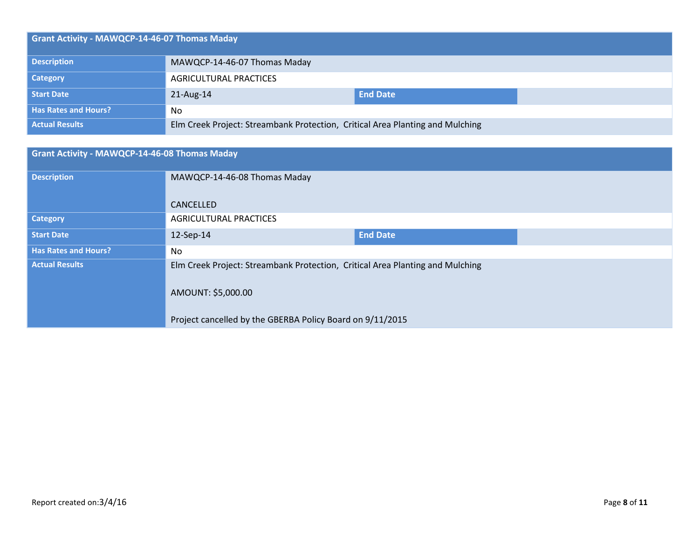| Grant Activity - MAWQCP-14-46-07 Thomas Maday |                                                                               |                 |  |  |  |
|-----------------------------------------------|-------------------------------------------------------------------------------|-----------------|--|--|--|
| <b>Description</b>                            | MAWQCP-14-46-07 Thomas Maday                                                  |                 |  |  |  |
| Category                                      | <b>AGRICULTURAL PRACTICES</b>                                                 |                 |  |  |  |
| Start Date                                    | 21-Aug-14                                                                     | <b>End Date</b> |  |  |  |
| <b>Has Rates and Hours?</b>                   | No                                                                            |                 |  |  |  |
| <b>Actual Results</b>                         | Elm Creek Project: Streambank Protection, Critical Area Planting and Mulching |                 |  |  |  |

| <b>Grant Activity - MAWQCP-14-46-08 Thomas Maday</b> |                                                                               |                 |  |  |
|------------------------------------------------------|-------------------------------------------------------------------------------|-----------------|--|--|
| <b>Description</b>                                   | MAWQCP-14-46-08 Thomas Maday                                                  |                 |  |  |
|                                                      | CANCELLED                                                                     |                 |  |  |
| <b>Category</b>                                      | <b>AGRICULTURAL PRACTICES</b>                                                 |                 |  |  |
| <b>Start Date</b>                                    | 12-Sep-14                                                                     | <b>End Date</b> |  |  |
| <b>Has Rates and Hours?</b>                          | No                                                                            |                 |  |  |
| <b>Actual Results</b>                                | Elm Creek Project: Streambank Protection, Critical Area Planting and Mulching |                 |  |  |
|                                                      | AMOUNT: \$5,000.00                                                            |                 |  |  |
|                                                      | Project cancelled by the GBERBA Policy Board on 9/11/2015                     |                 |  |  |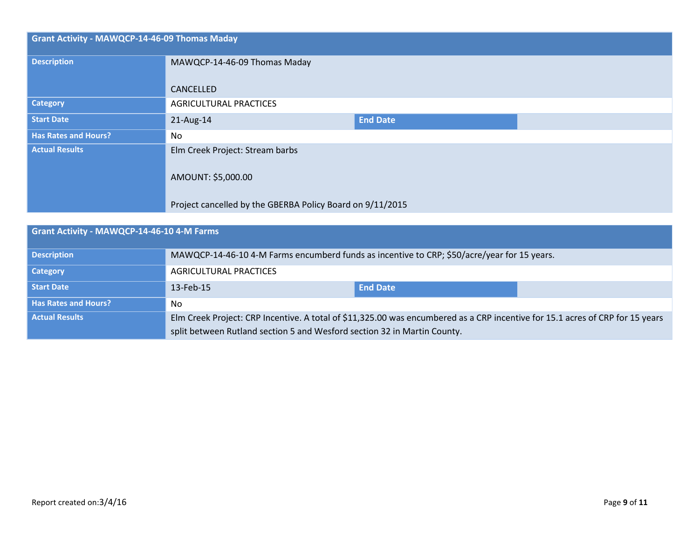| <b>Grant Activity - MAWQCP-14-46-09 Thomas Maday</b> |                                                           |                 |  |  |
|------------------------------------------------------|-----------------------------------------------------------|-----------------|--|--|
| <b>Description</b>                                   | MAWQCP-14-46-09 Thomas Maday                              |                 |  |  |
|                                                      | CANCELLED                                                 |                 |  |  |
| <b>Category</b>                                      | <b>AGRICULTURAL PRACTICES</b>                             |                 |  |  |
| <b>Start Date</b>                                    | 21-Aug-14                                                 | <b>End Date</b> |  |  |
| <b>Has Rates and Hours?</b>                          | <b>No</b>                                                 |                 |  |  |
| <b>Actual Results</b>                                | Elm Creek Project: Stream barbs                           |                 |  |  |
|                                                      | AMOUNT: \$5,000.00                                        |                 |  |  |
|                                                      | Project cancelled by the GBERBA Policy Board on 9/11/2015 |                 |  |  |

| Grant Activity - MAWQCP-14-46-10 4-M Farms |                                                                                                                               |                 |  |  |  |
|--------------------------------------------|-------------------------------------------------------------------------------------------------------------------------------|-----------------|--|--|--|
| <b>Description</b>                         | MAWQCP-14-46-10 4-M Farms encumberd funds as incentive to CRP; \$50/acre/year for 15 years.                                   |                 |  |  |  |
| <b>Category</b>                            | AGRICULTURAL PRACTICES                                                                                                        |                 |  |  |  |
| Start Date                                 | 13-Feb-15                                                                                                                     | <b>End Date</b> |  |  |  |
| <b>Has Rates and Hours?</b>                | No                                                                                                                            |                 |  |  |  |
| <b>Actual Results</b>                      | Elm Creek Project: CRP Incentive. A total of \$11,325.00 was encumbered as a CRP incentive for 15.1 acres of CRP for 15 years |                 |  |  |  |
|                                            | split between Rutland section 5 and Wesford section 32 in Martin County.                                                      |                 |  |  |  |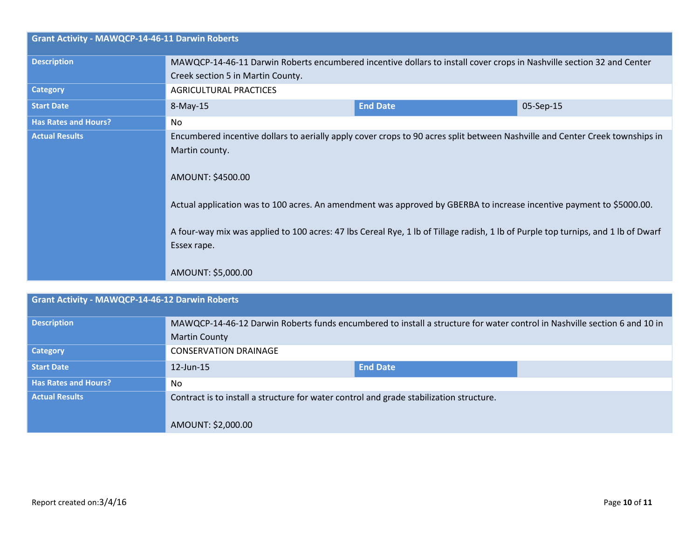| <b>Grant Activity - MAWQCP-14-46-11 Darwin Roberts</b> |                                                                                                                                                                                                                                                                                                                                                                                                                                                                       |                 |           |  |  |
|--------------------------------------------------------|-----------------------------------------------------------------------------------------------------------------------------------------------------------------------------------------------------------------------------------------------------------------------------------------------------------------------------------------------------------------------------------------------------------------------------------------------------------------------|-----------------|-----------|--|--|
| <b>Description</b>                                     | MAWQCP-14-46-11 Darwin Roberts encumbered incentive dollars to install cover crops in Nashville section 32 and Center<br>Creek section 5 in Martin County.                                                                                                                                                                                                                                                                                                            |                 |           |  |  |
| <b>Category</b>                                        | <b>AGRICULTURAL PRACTICES</b>                                                                                                                                                                                                                                                                                                                                                                                                                                         |                 |           |  |  |
| <b>Start Date</b>                                      | 8-May-15                                                                                                                                                                                                                                                                                                                                                                                                                                                              | <b>End Date</b> | 05-Sep-15 |  |  |
| <b>Has Rates and Hours?</b>                            | No.                                                                                                                                                                                                                                                                                                                                                                                                                                                                   |                 |           |  |  |
| <b>Actual Results</b>                                  | Encumbered incentive dollars to aerially apply cover crops to 90 acres split between Nashville and Center Creek townships in<br>Martin county.<br>AMOUNT: \$4500.00<br>Actual application was to 100 acres. An amendment was approved by GBERBA to increase incentive payment to \$5000.00.<br>A four-way mix was applied to 100 acres: 47 lbs Cereal Rye, 1 lb of Tillage radish, 1 lb of Purple top turnips, and 1 lb of Dwarf<br>Essex rape.<br>AMOUNT: \$5,000.00 |                 |           |  |  |

| Grant Activity - MAWQCP-14-46-12 Darwin Roberts |                                                                                                                           |                 |  |  |
|-------------------------------------------------|---------------------------------------------------------------------------------------------------------------------------|-----------------|--|--|
| <b>Description</b>                              | MAWQCP-14-46-12 Darwin Roberts funds encumbered to install a structure for water control in Nashville section 6 and 10 in |                 |  |  |
|                                                 | <b>Martin County</b>                                                                                                      |                 |  |  |
| <b>Category</b>                                 | <b>CONSERVATION DRAINAGE</b>                                                                                              |                 |  |  |
| Start Date                                      | $12$ -Jun- $15$                                                                                                           | <b>End Date</b> |  |  |
| <b>Has Rates and Hours?</b>                     | No.                                                                                                                       |                 |  |  |
| <b>Actual Results</b>                           | Contract is to install a structure for water control and grade stabilization structure.                                   |                 |  |  |
|                                                 | AMOUNT: \$2,000.00                                                                                                        |                 |  |  |